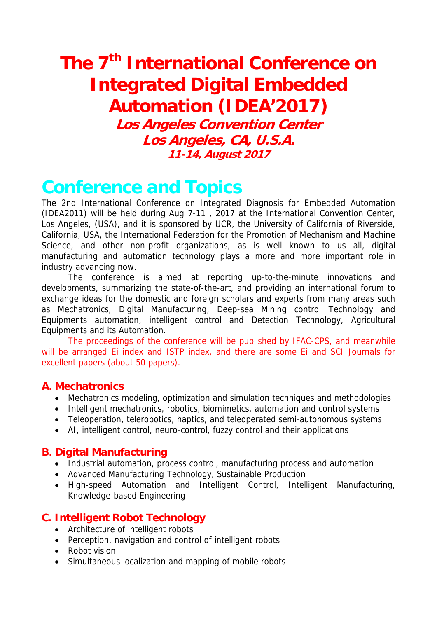# **The 7th International Conference on Integrated Digital Embedded Automation (IDEA'2017)**

**Los Angeles Convention Center Los Angeles, CA, U.S.A. 11-14, August 2017**

# **Conference and Topics**

The 2nd International Conference on Integrated Diagnosis for Embedded Automation (IDEA2011) will be held during Aug 7-11 , 2017 at the International Convention Center, Los Angeles, (USA), and it is sponsored by UCR, the University of California of Riverside, California, USA, the International Federation for the Promotion of Mechanism and Machine Science, and other non-profit organizations, as is well known to us all, digital manufacturing and automation technology plays a more and more important role in industry advancing now.

The conference is aimed at reporting up-to-the-minute innovations and developments, summarizing the state-of-the-art, and providing an international forum to exchange ideas for the domestic and foreign scholars and experts from many areas such as Mechatronics, Digital Manufacturing, Deep-sea Mining control Technology and Equipments automation, intelligent control and Detection Technology, Agricultural Equipments and its Automation.

The proceedings of the conference will be published by IFAC-CPS, and meanwhile will be arranged Ei index and ISTP index, and there are some Ei and SCI Journals for excellent papers (about 50 papers).

#### **A. Mechatronics**

- Mechatronics modeling, optimization and simulation techniques and methodologies
- Intelligent mechatronics, robotics, biomimetics, automation and control systems
- Teleoperation, telerobotics, haptics, and teleoperated semi-autonomous systems
- AI, intelligent control, neuro-control, fuzzy control and their applications

#### **B. Digital Manufacturing**

- Industrial automation, process control, manufacturing process and automation
- Advanced Manufacturing Technology, Sustainable Production
- High-speed Automation and Intelligent Control, Intelligent Manufacturing, Knowledge-based Engineering

#### **C. Intelligent Robot Technology**

- Architecture of intelligent robots
- Perception, navigation and control of intelligent robots
- Robot vision
- Simultaneous localization and mapping of mobile robots